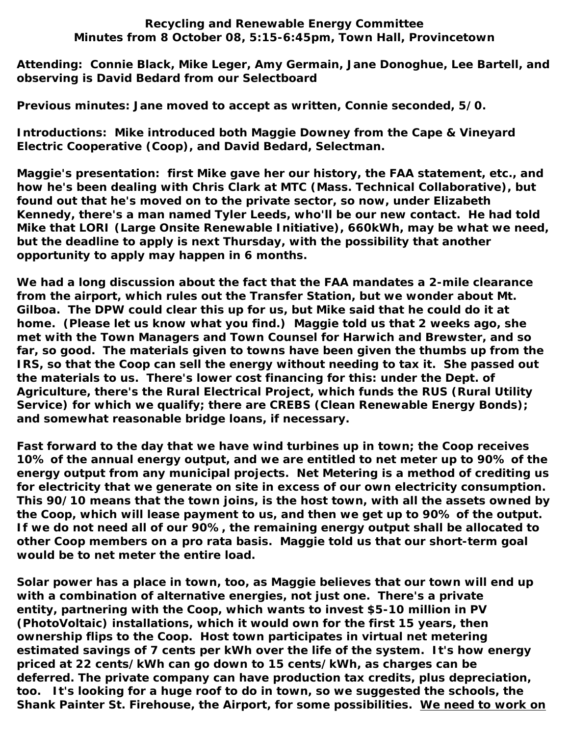## **Recycling and Renewable Energy Committee Minutes from 8 October 08, 5:15-6:45pm, Town Hall, Provincetown**

**Attending: Connie Black, Mike Leger, Amy Germain, Jane Donoghue, Lee Bartell, and observing is David Bedard from our Selectboard**

**Previous minutes: Jane moved to accept as written, Connie seconded, 5/0.**

**Introductions: Mike introduced both Maggie Downey from the Cape & Vineyard Electric Cooperative (Coop), and David Bedard, Selectman.**

**Maggie's presentation: first Mike gave her our history, the FAA statement, etc., and how he's been dealing with Chris Clark at MTC (Mass. Technical Collaborative), but found out that he's moved on to the private sector, so now, under Elizabeth Kennedy, there's a man named Tyler Leeds, who'll be our new contact. He had told Mike that LORI (Large Onsite Renewable Initiative), 660kWh, may be what we need, but the deadline to apply is next Thursday, with the possibility that another opportunity to apply may happen in 6 months.** 

**We had a long discussion about the fact that the FAA mandates a 2-mile clearance from the airport, which rules out the Transfer Station, but we wonder about Mt. Gilboa. The DPW could clear this up for us, but Mike said that he could do it at home. (Please let us know what you find.) Maggie told us that 2 weeks ago, she met with the Town Managers and Town Counsel for Harwich and Brewster, and so far, so good. The materials given to towns have been given the thumbs up from the IRS, so that the Coop can sell the energy without needing to tax it. She passed out the materials to us. There's lower cost financing for this: under the Dept. of Agriculture, there's the Rural Electrical Project, which funds the RUS (Rural Utility**  Service) for which we qualify; there are CREBS (Clean Renewable Energy Bonds); **and somewhat reasonable bridge loans, if necessary.**

**Fast forward to the day that we have wind turbines up in town; the Coop receives 10% of the annual energy output, and we are entitled to net meter up to 90% of the energy output from any municipal projects. Net Metering is a method of crediting us for electricity that we generate on site in excess of our own electricity consumption. This 90/10 means that the town joins, is the host town, with all the assets owned by the Coop, which will lease payment to us, and then we get up to 90% of the output. If we do not need all of our 90%, the remaining energy output shall be allocated to other Coop members on a pro rata basis. Maggie told us that our short-term goal would be to net meter the entire load.**

**Solar power has a place in town, too, as Maggie believes that our town will end up with a combination of alternative energies, not just one. There's a private entity, partnering with the Coop, which wants to invest \$5-10 million in PV (PhotoVoltaic) installations, which it would own for the first 15 years, then ownership flips to the Coop. Host town participates in virtual net metering estimated savings of 7 cents per kWh over the life of the system. It's how energy priced at 22 cents/kWh can go down to 15 cents/kWh, as charges can be deferred. The private company can have production tax credits, plus depreciation, too. It's looking for a huge roof to do in town, so we suggested the schools, the Shank Painter St. Firehouse, the Airport, for some possibilities. We need to work on**